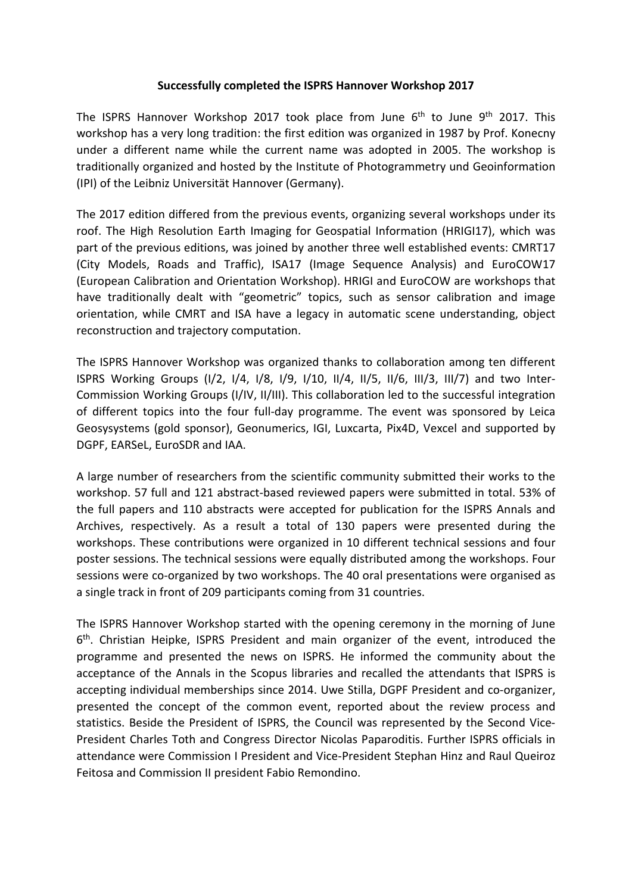## **Successfully completed the ISPRS Hannover Workshop 2017**

The ISPRS Hannover Workshop 2017 took place from June 6<sup>th</sup> to June 9<sup>th</sup> 2017. This workshop has a very long tradition: the first edition was organized in 1987 by Prof. Konecny under a different name while the current name was adopted in 2005. The workshop is traditionally organized and hosted by the Institute of Photogrammetry und Geoinformation (IPI) of the Leibniz Universität Hannover (Germany).

The 2017 edition differed from the previous events, organizing several workshops under its roof. The High Resolution Earth Imaging for Geospatial Information (HRIGI17), which was part of the previous editions, was joined by another three well established events: CMRT17 (City Models, Roads and Traffic), ISA17 (Image Sequence Analysis) and EuroCOW17 (European Calibration and Orientation Workshop). HRIGI and EuroCOW are workshops that have traditionally dealt with "geometric" topics, such as sensor calibration and image orientation, while CMRT and ISA have a legacy in automatic scene understanding, object reconstruction and trajectory computation.

The ISPRS Hannover Workshop was organized thanks to collaboration among ten different ISPRS Working Groups (I/2, I/4, I/8, I/9, I/10, II/4, II/5, II/6, III/3, III/7) and two Inter-Commission Working Groups (I/IV, II/III). This collaboration led to the successful integration of different topics into the four full-day programme. The event was sponsored by Leica Geosysystems (gold sponsor), Geonumerics, IGI, Luxcarta, Pix4D, Vexcel and supported by DGPF, EARSeL, EuroSDR and IAA.

A large number of researchers from the scientific community submitted their works to the workshop. 57 full and 121 abstract-based reviewed papers were submitted in total. 53% of the full papers and 110 abstracts were accepted for publication for the ISPRS Annals and Archives, respectively. As a result a total of 130 papers were presented during the workshops. These contributions were organized in 10 different technical sessions and four poster sessions. The technical sessions were equally distributed among the workshops. Four sessions were co-organized by two workshops. The 40 oral presentations were organised as a single track in front of 209 participants coming from 31 countries.

The ISPRS Hannover Workshop started with the opening ceremony in the morning of June  $6<sup>th</sup>$ . Christian Heipke, ISPRS President and main organizer of the event, introduced the programme and presented the news on ISPRS. He informed the community about the acceptance of the Annals in the Scopus libraries and recalled the attendants that ISPRS is accepting individual memberships since 2014. Uwe Stilla, DGPF President and co-organizer, presented the concept of the common event, reported about the review process and statistics. Beside the President of ISPRS, the Council was represented by the Second Vice-President Charles Toth and Congress Director Nicolas Paparoditis. Further ISPRS officials in attendance were Commission I President and Vice-President Stephan Hinz and Raul Queiroz Feitosa and Commission II president Fabio Remondino.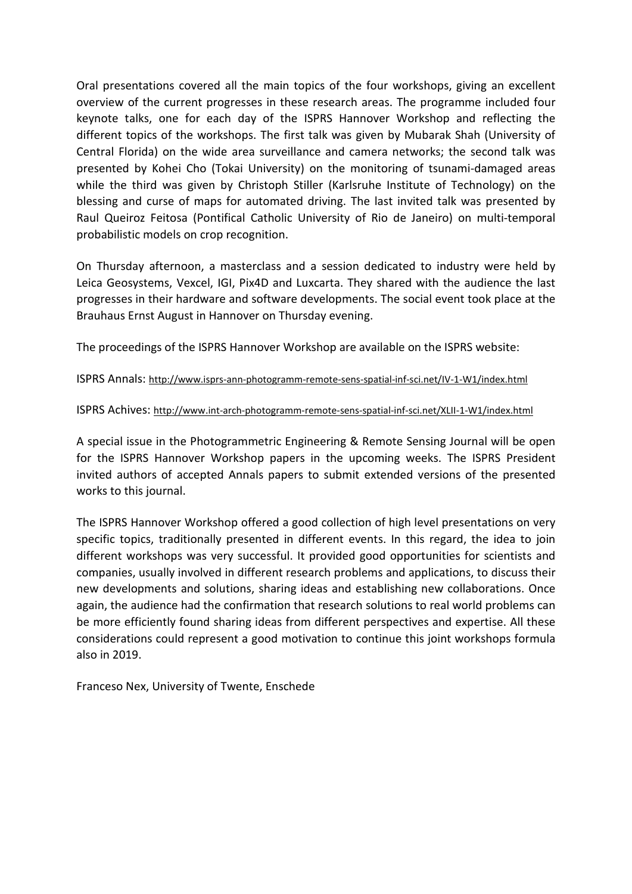Oral presentations covered all the main topics of the four workshops, giving an excellent overview of the current progresses in these research areas. The programme included four keynote talks, one for each day of the ISPRS Hannover Workshop and reflecting the different topics of the workshops. The first talk was given by Mubarak Shah (University of Central Florida) on the wide area surveillance and camera networks; the second talk was presented by Kohei Cho (Tokai University) on the monitoring of tsunami-damaged areas while the third was given by Christoph Stiller (Karlsruhe Institute of Technology) on the blessing and curse of maps for automated driving. The last invited talk was presented by Raul Queiroz Feitosa (Pontifical Catholic University of Rio de Janeiro) on multi-temporal probabilistic models on crop recognition.

On Thursday afternoon, a masterclass and a session dedicated to industry were held by Leica Geosystems, Vexcel, IGI, Pix4D and Luxcarta. They shared with the audience the last progresses in their hardware and software developments. The social event took place at the Brauhaus Ernst August in Hannover on Thursday evening.

The proceedings of the ISPRS Hannover Workshop are available on the ISPRS website:

ISPRS Annals:<http://www.isprs-ann-photogramm-remote-sens-spatial-inf-sci.net/IV-1-W1/index.html>

## ISPRS Achives:<http://www.int-arch-photogramm-remote-sens-spatial-inf-sci.net/XLII-1-W1/index.html>

A special issue in the Photogrammetric Engineering & Remote Sensing Journal will be open for the ISPRS Hannover Workshop papers in the upcoming weeks. The ISPRS President invited authors of accepted Annals papers to submit extended versions of the presented works to this journal.

The ISPRS Hannover Workshop offered a good collection of high level presentations on very specific topics, traditionally presented in different events. In this regard, the idea to join different workshops was very successful. It provided good opportunities for scientists and companies, usually involved in different research problems and applications, to discuss their new developments and solutions, sharing ideas and establishing new collaborations. Once again, the audience had the confirmation that research solutions to real world problems can be more efficiently found sharing ideas from different perspectives and expertise. All these considerations could represent a good motivation to continue this joint workshops formula also in 2019.

Franceso Nex, University of Twente, Enschede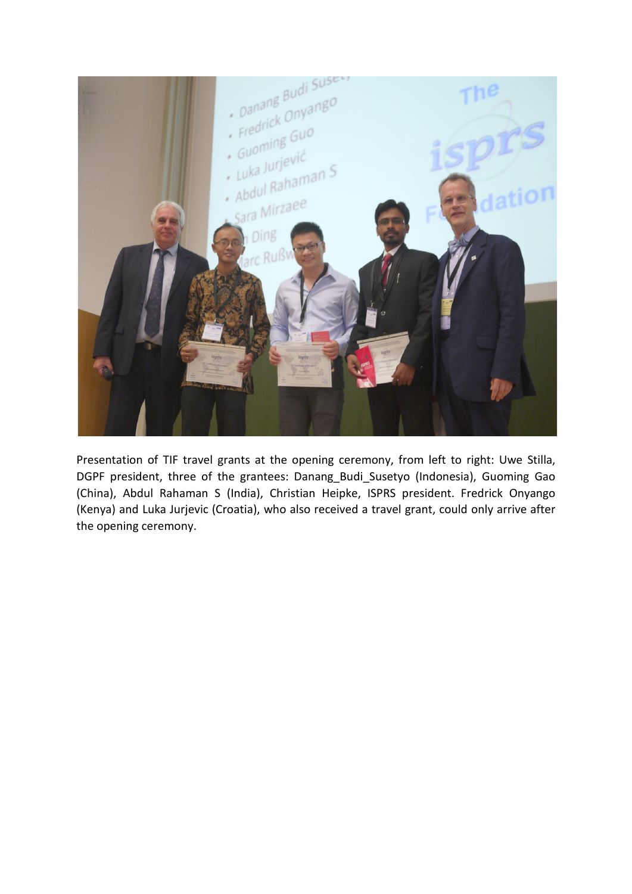

Presentation of TIF travel grants at the opening ceremony, from left to right: Uwe Stilla, DGPF president, three of the grantees: Danang\_Budi\_Susetyo (Indonesia), Guoming Gao (China), Abdul Rahaman S (India), Christian Heipke, ISPRS president. Fredrick Onyango (Kenya) and Luka Jurjevic (Croatia), who also received a travel grant, could only arrive after the opening ceremony.